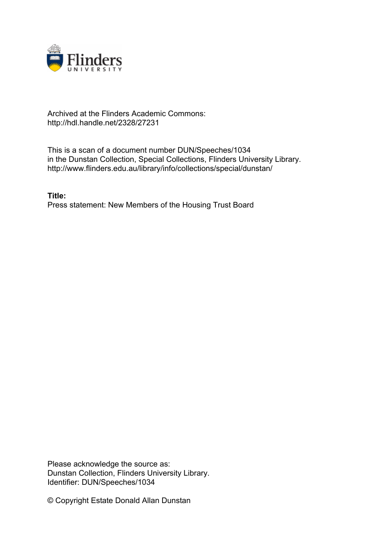

## Archived at the Flinders Academic Commons: http://hdl.handle.net/2328/27231

This is a scan of a document number DUN/Speeches/1034 in the Dunstan Collection, Special Collections, Flinders University Library. http://www.flinders.edu.au/library/info/collections/special/dunstan/

**Title:** Press statement: New Members of the Housing Trust Board

Please acknowledge the source as: Dunstan Collection, Flinders University Library. Identifier: DUN/Speeches/1034

© Copyright Estate Donald Allan Dunstan